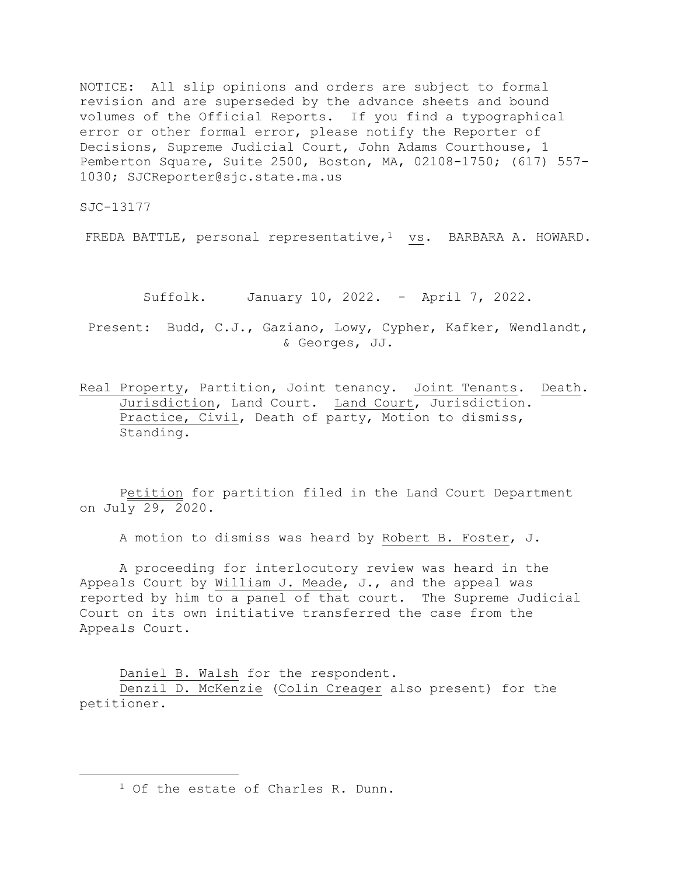NOTICE: All slip opinions and orders are subject to formal revision and are superseded by the advance sheets and bound volumes of the Official Reports. If you find a typographical error or other formal error, please notify the Reporter of Decisions, Supreme Judicial Court, John Adams Courthouse, 1 Pemberton Square, Suite 2500, Boston, MA, 02108-1750; (617) 557- 1030; SJCReporter@sjc.state.ma.us

SJC-13177

FREDA BATTLE, personal representative,<sup>1</sup> vs. BARBARA A. HOWARD.

Suffolk. January 10, 2022. - April 7, 2022.

Present: Budd, C.J., Gaziano, Lowy, Cypher, Kafker, Wendlandt, & Georges, JJ.

Real Property, Partition, Joint tenancy. Joint Tenants. Death. Jurisdiction, Land Court. Land Court, Jurisdiction. Practice, Civil, Death of party, Motion to dismiss, Standing.

Petition for partition filed in the Land Court Department on July 29, 2020.

A motion to dismiss was heard by Robert B. Foster, J.

A proceeding for interlocutory review was heard in the Appeals Court by William J. Meade, J., and the appeal was reported by him to a panel of that court. The Supreme Judicial Court on its own initiative transferred the case from the Appeals Court.

Daniel B. Walsh for the respondent. Denzil D. McKenzie (Colin Creager also present) for the petitioner.

<sup>1</sup> Of the estate of Charles R. Dunn.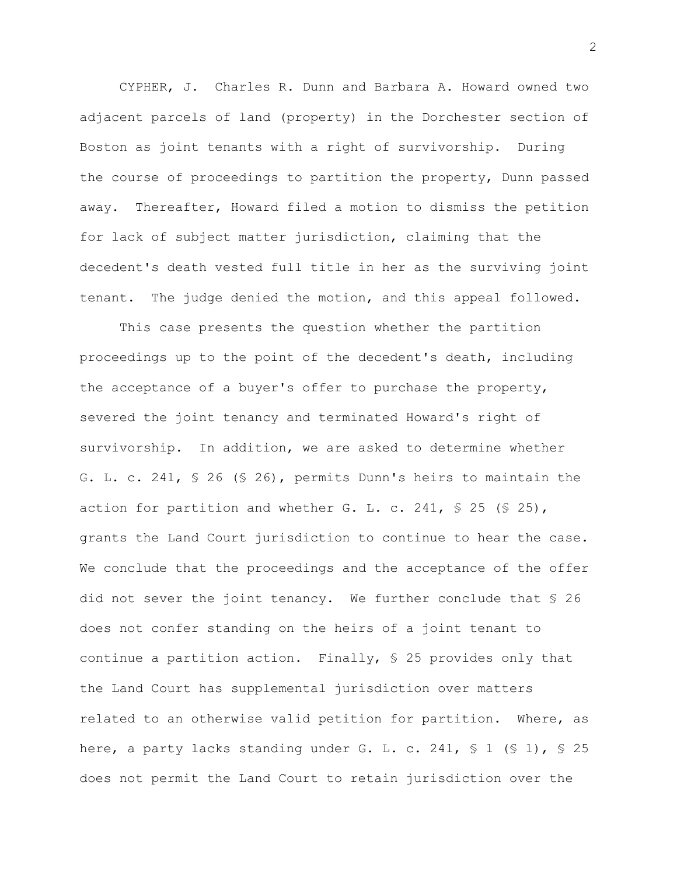CYPHER, J. Charles R. Dunn and Barbara A. Howard owned two adjacent parcels of land (property) in the Dorchester section of Boston as joint tenants with a right of survivorship. During the course of proceedings to partition the property, Dunn passed away. Thereafter, Howard filed a motion to dismiss the petition for lack of subject matter jurisdiction, claiming that the decedent's death vested full title in her as the surviving joint tenant. The judge denied the motion, and this appeal followed.

This case presents the question whether the partition proceedings up to the point of the decedent's death, including the acceptance of a buyer's offer to purchase the property, severed the joint tenancy and terminated Howard's right of survivorship. In addition, we are asked to determine whether G. L. c. 241, § 26 (§ 26), permits Dunn's heirs to maintain the action for partition and whether G. L. c. 241,  $\leq$  25 ( $\leq$  25), grants the Land Court jurisdiction to continue to hear the case. We conclude that the proceedings and the acceptance of the offer did not sever the joint tenancy. We further conclude that § 26 does not confer standing on the heirs of a joint tenant to continue a partition action. Finally, § 25 provides only that the Land Court has supplemental jurisdiction over matters related to an otherwise valid petition for partition. Where, as here, a party lacks standing under G. L. c. 241,  $\frac{1}{5}$  1 ( $\frac{1}{5}$  1),  $\frac{1}{5}$  25 does not permit the Land Court to retain jurisdiction over the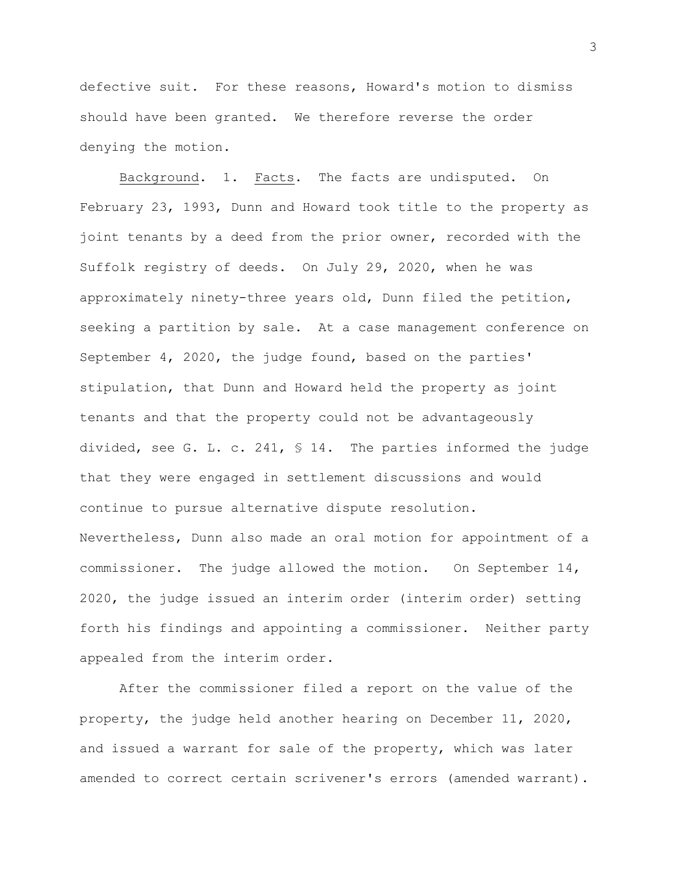defective suit. For these reasons, Howard's motion to dismiss should have been granted. We therefore reverse the order denying the motion.

Background. 1. Facts. The facts are undisputed. On February 23, 1993, Dunn and Howard took title to the property as joint tenants by a deed from the prior owner, recorded with the Suffolk registry of deeds. On July 29, 2020, when he was approximately ninety-three years old, Dunn filed the petition, seeking a partition by sale. At a case management conference on September 4, 2020, the judge found, based on the parties' stipulation, that Dunn and Howard held the property as joint tenants and that the property could not be advantageously divided, see G. L. c. 241, § 14. The parties informed the judge that they were engaged in settlement discussions and would continue to pursue alternative dispute resolution. Nevertheless, Dunn also made an oral motion for appointment of a commissioner. The judge allowed the motion. On September 14, 2020, the judge issued an interim order (interim order) setting forth his findings and appointing a commissioner. Neither party appealed from the interim order.

After the commissioner filed a report on the value of the property, the judge held another hearing on December 11, 2020, and issued a warrant for sale of the property, which was later amended to correct certain scrivener's errors (amended warrant).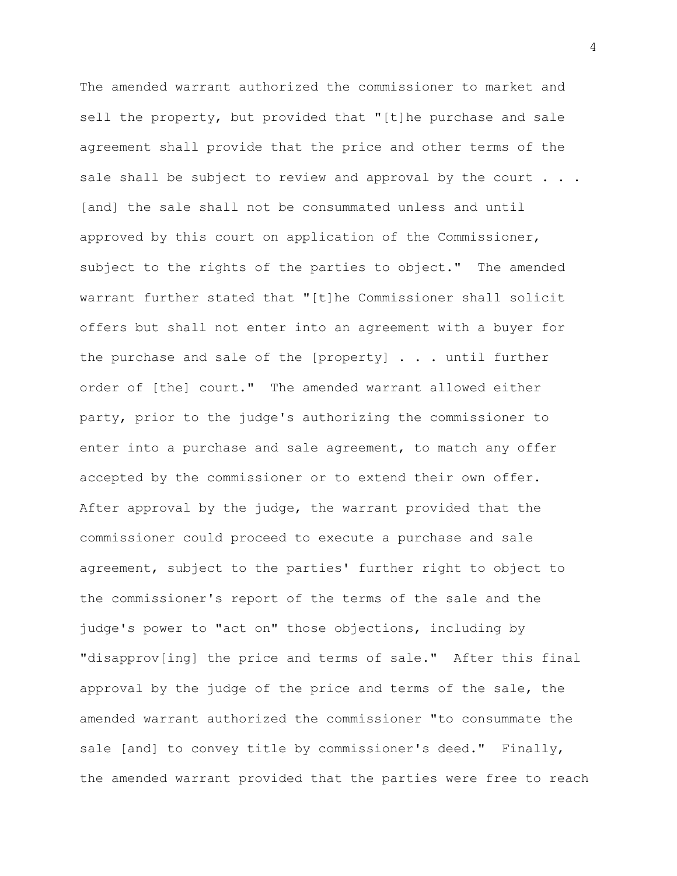The amended warrant authorized the commissioner to market and sell the property, but provided that "[t]he purchase and sale agreement shall provide that the price and other terms of the sale shall be subject to review and approval by the court  $\ldots$ . [and] the sale shall not be consummated unless and until approved by this court on application of the Commissioner, subject to the rights of the parties to object." The amended warrant further stated that "[t]he Commissioner shall solicit offers but shall not enter into an agreement with a buyer for the purchase and sale of the [property] . . . until further order of [the] court." The amended warrant allowed either party, prior to the judge's authorizing the commissioner to enter into a purchase and sale agreement, to match any offer accepted by the commissioner or to extend their own offer. After approval by the judge, the warrant provided that the commissioner could proceed to execute a purchase and sale agreement, subject to the parties' further right to object to the commissioner's report of the terms of the sale and the judge's power to "act on" those objections, including by "disapprov[ing] the price and terms of sale." After this final approval by the judge of the price and terms of the sale, the amended warrant authorized the commissioner "to consummate the sale [and] to convey title by commissioner's deed." Finally, the amended warrant provided that the parties were free to reach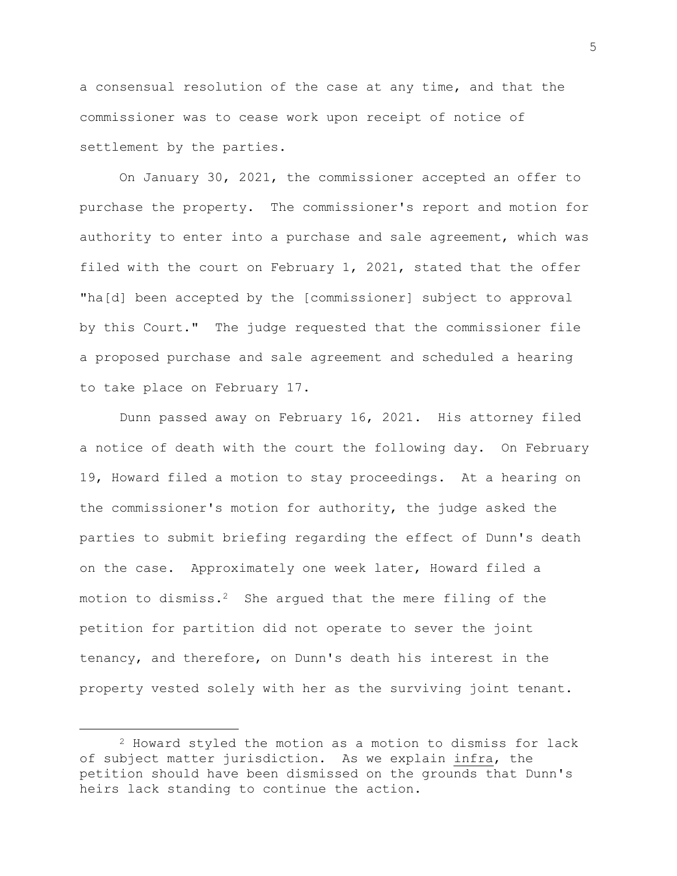a consensual resolution of the case at any time, and that the commissioner was to cease work upon receipt of notice of settlement by the parties.

On January 30, 2021, the commissioner accepted an offer to purchase the property. The commissioner's report and motion for authority to enter into a purchase and sale agreement, which was filed with the court on February 1, 2021, stated that the offer "ha[d] been accepted by the [commissioner] subject to approval by this Court." The judge requested that the commissioner file a proposed purchase and sale agreement and scheduled a hearing to take place on February 17.

Dunn passed away on February 16, 2021. His attorney filed a notice of death with the court the following day. On February 19, Howard filed a motion to stay proceedings. At a hearing on the commissioner's motion for authority, the judge asked the parties to submit briefing regarding the effect of Dunn's death on the case. Approximately one week later, Howard filed a motion to dismiss.<sup>2</sup> She argued that the mere filing of the petition for partition did not operate to sever the joint tenancy, and therefore, on Dunn's death his interest in the property vested solely with her as the surviving joint tenant.

<sup>2</sup> Howard styled the motion as a motion to dismiss for lack of subject matter jurisdiction. As we explain infra, the petition should have been dismissed on the grounds that Dunn's heirs lack standing to continue the action.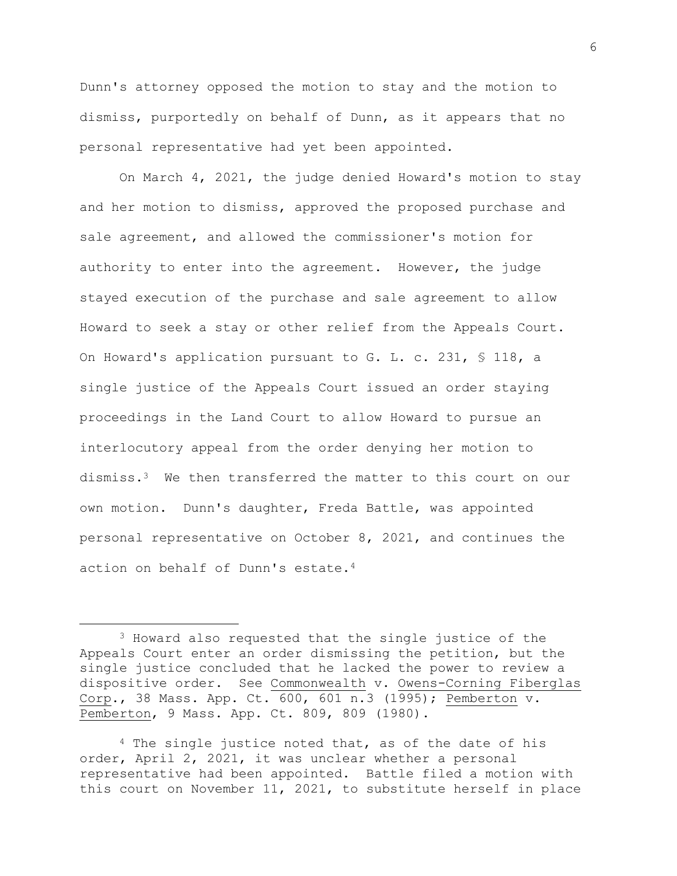Dunn's attorney opposed the motion to stay and the motion to dismiss, purportedly on behalf of Dunn, as it appears that no personal representative had yet been appointed.

On March 4, 2021, the judge denied Howard's motion to stay and her motion to dismiss, approved the proposed purchase and sale agreement, and allowed the commissioner's motion for authority to enter into the agreement. However, the judge stayed execution of the purchase and sale agreement to allow Howard to seek a stay or other relief from the Appeals Court. On Howard's application pursuant to G. L. c. 231, § 118, a single justice of the Appeals Court issued an order staying proceedings in the Land Court to allow Howard to pursue an interlocutory appeal from the order denying her motion to dismiss.3 We then transferred the matter to this court on our own motion. Dunn's daughter, Freda Battle, was appointed personal representative on October 8, 2021, and continues the action on behalf of Dunn's estate.<sup>4</sup>

<sup>3</sup> Howard also requested that the single justice of the Appeals Court enter an order dismissing the petition, but the single justice concluded that he lacked the power to review a dispositive order. See Commonwealth v. Owens-Corning Fiberglas Corp., 38 Mass. App. Ct. 600, 601 n.3 (1995); Pemberton v. Pemberton, 9 Mass. App. Ct. 809, 809 (1980).

<sup>4</sup> The single justice noted that, as of the date of his order, April 2, 2021, it was unclear whether a personal representative had been appointed. Battle filed a motion with this court on November 11, 2021, to substitute herself in place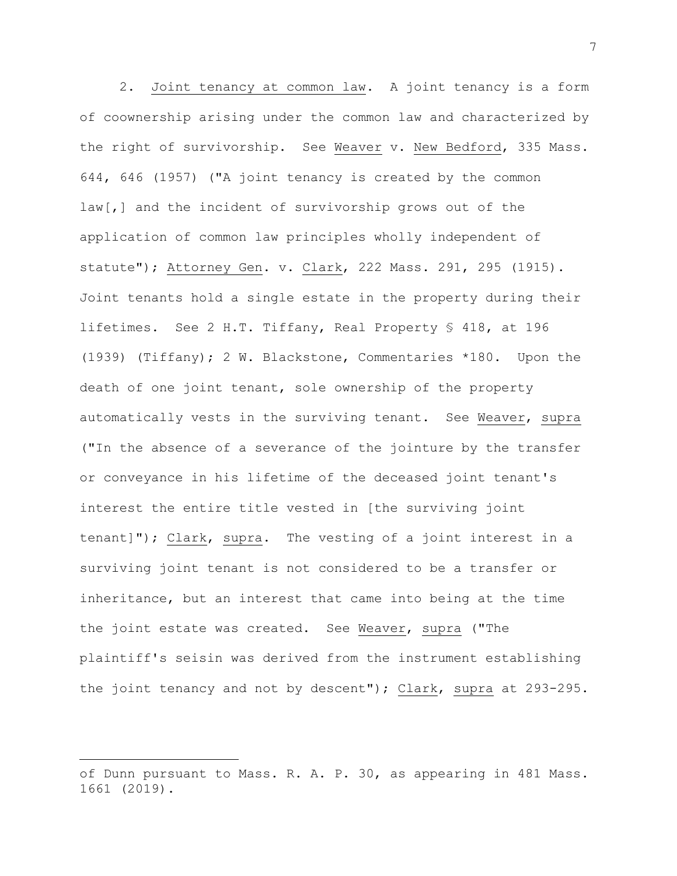2. Joint tenancy at common law. A joint tenancy is a form of coownership arising under the common law and characterized by the right of survivorship. See Weaver v. New Bedford, 335 Mass. 644, 646 (1957) ("A joint tenancy is created by the common law[,] and the incident of survivorship grows out of the application of common law principles wholly independent of statute"); Attorney Gen. v. Clark, 222 Mass. 291, 295 (1915). Joint tenants hold a single estate in the property during their lifetimes. See 2 H.T. Tiffany, Real Property § 418, at 196 (1939) (Tiffany); 2 W. Blackstone, Commentaries \*180. Upon the death of one joint tenant, sole ownership of the property automatically vests in the surviving tenant. See Weaver, supra ("In the absence of a severance of the jointure by the transfer or conveyance in his lifetime of the deceased joint tenant's interest the entire title vested in [the surviving joint tenant]"); Clark, supra. The vesting of a joint interest in a surviving joint tenant is not considered to be a transfer or inheritance, but an interest that came into being at the time the joint estate was created. See Weaver, supra ("The plaintiff's seisin was derived from the instrument establishing the joint tenancy and not by descent"); Clark, supra at 293-295.

of Dunn pursuant to Mass. R. A. P. 30, as appearing in 481 Mass. 1661 (2019).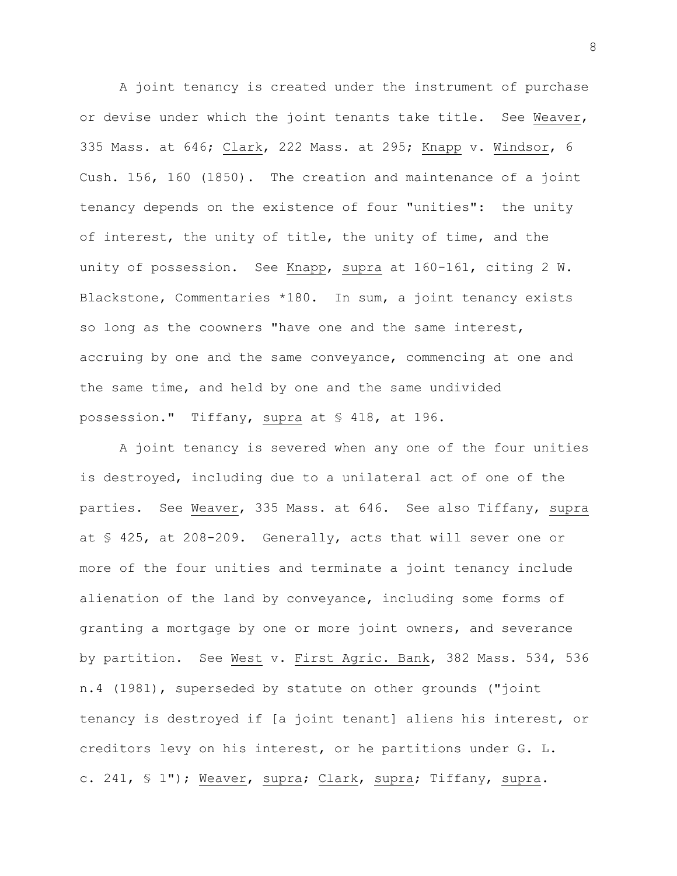A joint tenancy is created under the instrument of purchase or devise under which the joint tenants take title. See Weaver, 335 Mass. at 646; Clark, 222 Mass. at 295; Knapp v. Windsor, 6 Cush. 156, 160 (1850). The creation and maintenance of a joint tenancy depends on the existence of four "unities": the unity of interest, the unity of title, the unity of time, and the unity of possession. See Knapp, supra at 160-161, citing 2 W. Blackstone, Commentaries \*180. In sum, a joint tenancy exists so long as the coowners "have one and the same interest, accruing by one and the same conveyance, commencing at one and the same time, and held by one and the same undivided possession." Tiffany, supra at § 418, at 196.

A joint tenancy is severed when any one of the four unities is destroyed, including due to a unilateral act of one of the parties. See Weaver, 335 Mass. at 646. See also Tiffany, supra at § 425, at 208-209. Generally, acts that will sever one or more of the four unities and terminate a joint tenancy include alienation of the land by conveyance, including some forms of granting a mortgage by one or more joint owners, and severance by partition. See West v. First Agric. Bank, 382 Mass. 534, 536 n.4 (1981), superseded by statute on other grounds ("joint tenancy is destroyed if [a joint tenant] aliens his interest, or creditors levy on his interest, or he partitions under G. L. c. 241, § 1"); Weaver, supra; Clark, supra; Tiffany, supra.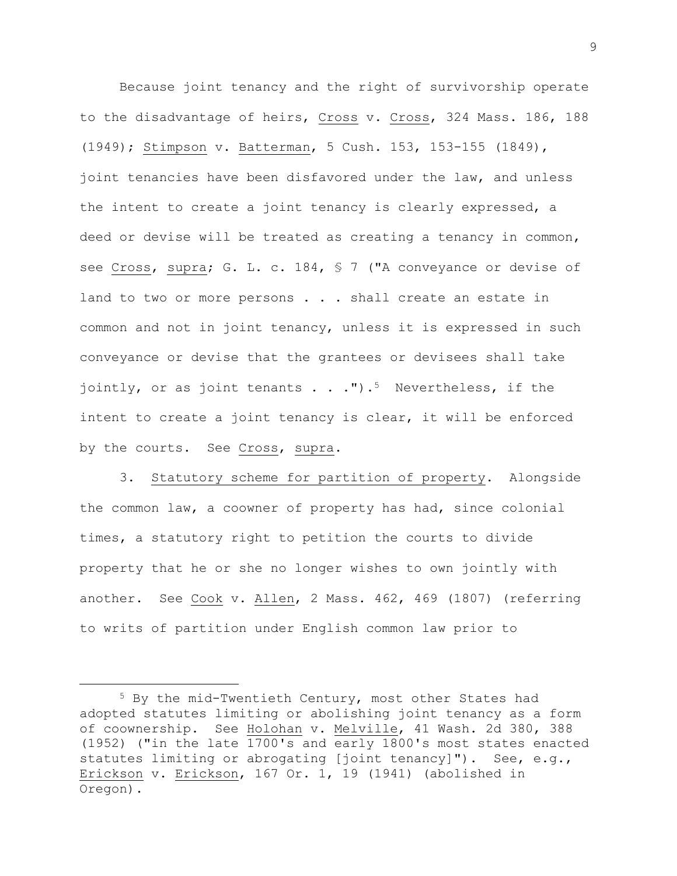Because joint tenancy and the right of survivorship operate to the disadvantage of heirs, Cross v. Cross, 324 Mass. 186, 188 (1949); Stimpson v. Batterman, 5 Cush. 153, 153-155 (1849), joint tenancies have been disfavored under the law, and unless the intent to create a joint tenancy is clearly expressed, a deed or devise will be treated as creating a tenancy in common, see Cross, supra; G. L. c. 184, § 7 ("A conveyance or devise of land to two or more persons . . . shall create an estate in common and not in joint tenancy, unless it is expressed in such conveyance or devise that the grantees or devisees shall take jointly, or as joint tenants  $\ldots$  .").<sup>5</sup> Nevertheless, if the intent to create a joint tenancy is clear, it will be enforced by the courts. See Cross, supra.

3. Statutory scheme for partition of property. Alongside the common law, a coowner of property has had, since colonial times, a statutory right to petition the courts to divide property that he or she no longer wishes to own jointly with another. See Cook v. Allen, 2 Mass. 462, 469 (1807) (referring to writs of partition under English common law prior to

<sup>5</sup> By the mid-Twentieth Century, most other States had adopted statutes limiting or abolishing joint tenancy as a form of coownership. See Holohan v. Melville, 41 Wash. 2d 380, 388 (1952) ("in the late 1700's and early 1800's most states enacted statutes limiting or abrogating [joint tenancy]"). See, e.g., Erickson v. Erickson, 167 Or. 1, 19 (1941) (abolished in Oregon).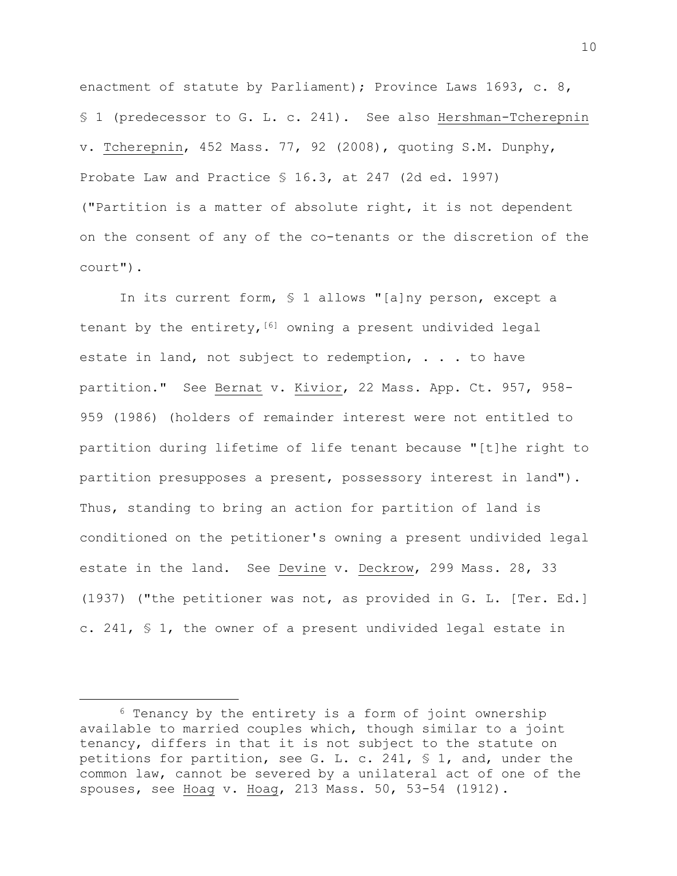enactment of statute by Parliament); Province Laws 1693, c. 8, § 1 (predecessor to G. L. c. 241). See also Hershman-Tcherepnin v. Tcherepnin, 452 Mass. 77, 92 (2008), quoting S.M. Dunphy, Probate Law and Practice § 16.3, at 247 (2d ed. 1997) ("Partition is a matter of absolute right, it is not dependent on the consent of any of the co-tenants or the discretion of the court").

In its current form, § 1 allows "[a]ny person, except a tenant by the entirety,  $[6]$  owning a present undivided legal estate in land, not subject to redemption, . . . to have partition." See Bernat v. Kivior, 22 Mass. App. Ct. 957, 958- 959 (1986) (holders of remainder interest were not entitled to partition during lifetime of life tenant because "[t]he right to partition presupposes a present, possessory interest in land"). Thus, standing to bring an action for partition of land is conditioned on the petitioner's owning a present undivided legal estate in the land. See Devine v. Deckrow, 299 Mass. 28, 33 (1937) ("the petitioner was not, as provided in G. L. [Ter. Ed.] c. 241, § 1, the owner of a present undivided legal estate in

<sup>6</sup> Tenancy by the entirety is a form of joint ownership available to married couples which, though similar to a joint tenancy, differs in that it is not subject to the statute on petitions for partition, see G. L. c. 241, § 1, and, under the common law, cannot be severed by a unilateral act of one of the spouses, see Hoag v. Hoag, 213 Mass. 50, 53-54 (1912).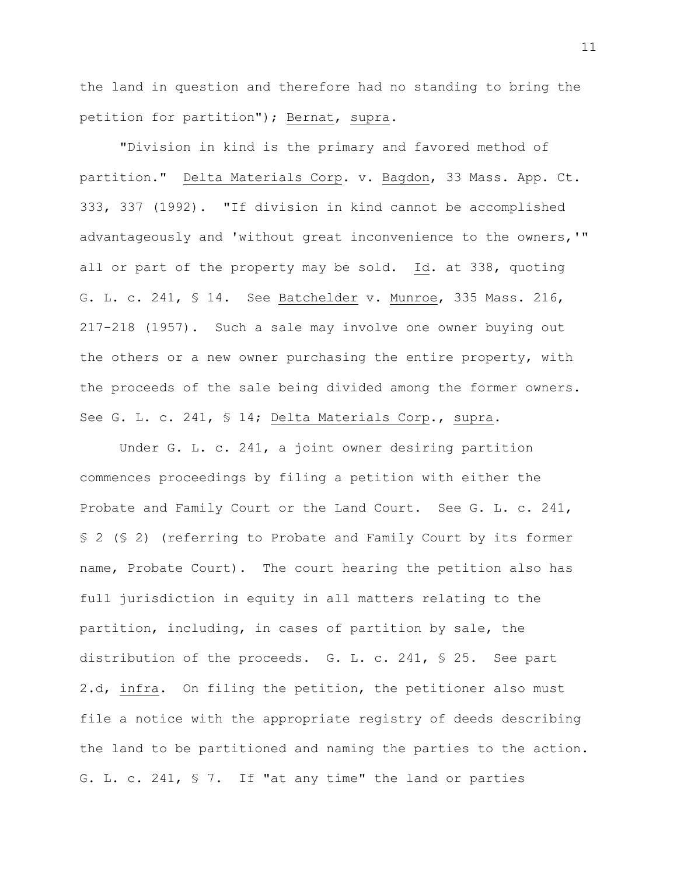the land in question and therefore had no standing to bring the petition for partition"); Bernat, supra.

"Division in kind is the primary and favored method of partition." Delta Materials Corp. v. Bagdon, 33 Mass. App. Ct. 333, 337 (1992). "If division in kind cannot be accomplished advantageously and 'without great inconvenience to the owners,'" all or part of the property may be sold. Id. at 338, quoting G. L. c. 241, § 14. See Batchelder v. Munroe, 335 Mass. 216, 217-218 (1957). Such a sale may involve one owner buying out the others or a new owner purchasing the entire property, with the proceeds of the sale being divided among the former owners. See G. L. c. 241, § 14; Delta Materials Corp., supra.

Under G. L. c. 241, a joint owner desiring partition commences proceedings by filing a petition with either the Probate and Family Court or the Land Court. See G. L. c. 241, § 2 (§ 2) (referring to Probate and Family Court by its former name, Probate Court). The court hearing the petition also has full jurisdiction in equity in all matters relating to the partition, including, in cases of partition by sale, the distribution of the proceeds. G. L. c. 241, § 25. See part 2.d, infra. On filing the petition, the petitioner also must file a notice with the appropriate registry of deeds describing the land to be partitioned and naming the parties to the action. G. L. c. 241, § 7. If "at any time" the land or parties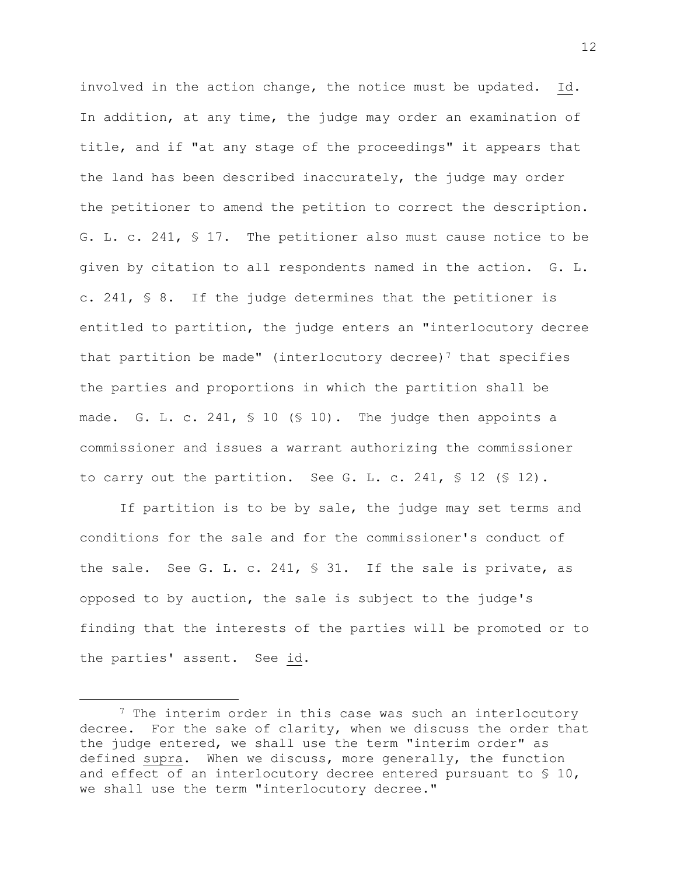involved in the action change, the notice must be updated. Id. In addition, at any time, the judge may order an examination of title, and if "at any stage of the proceedings" it appears that the land has been described inaccurately, the judge may order the petitioner to amend the petition to correct the description. G. L. c. 241, § 17. The petitioner also must cause notice to be given by citation to all respondents named in the action. G. L. c. 241, § 8. If the judge determines that the petitioner is entitled to partition, the judge enters an "interlocutory decree that partition be made" (interlocutory decree)<sup>7</sup> that specifies the parties and proportions in which the partition shall be made. G. L. c. 241, § 10 (§ 10). The judge then appoints a commissioner and issues a warrant authorizing the commissioner to carry out the partition. See G. L. c. 241,  $\frac{1}{5}$  12 ( $\frac{1}{5}$  12).

If partition is to be by sale, the judge may set terms and conditions for the sale and for the commissioner's conduct of the sale. See G. L. c. 241, § 31. If the sale is private, as opposed to by auction, the sale is subject to the judge's finding that the interests of the parties will be promoted or to the parties' assent. See id.

<sup>7</sup> The interim order in this case was such an interlocutory decree. For the sake of clarity, when we discuss the order that the judge entered, we shall use the term "interim order" as defined supra. When we discuss, more generally, the function and effect of an interlocutory decree entered pursuant to  $\S$  10, we shall use the term "interlocutory decree."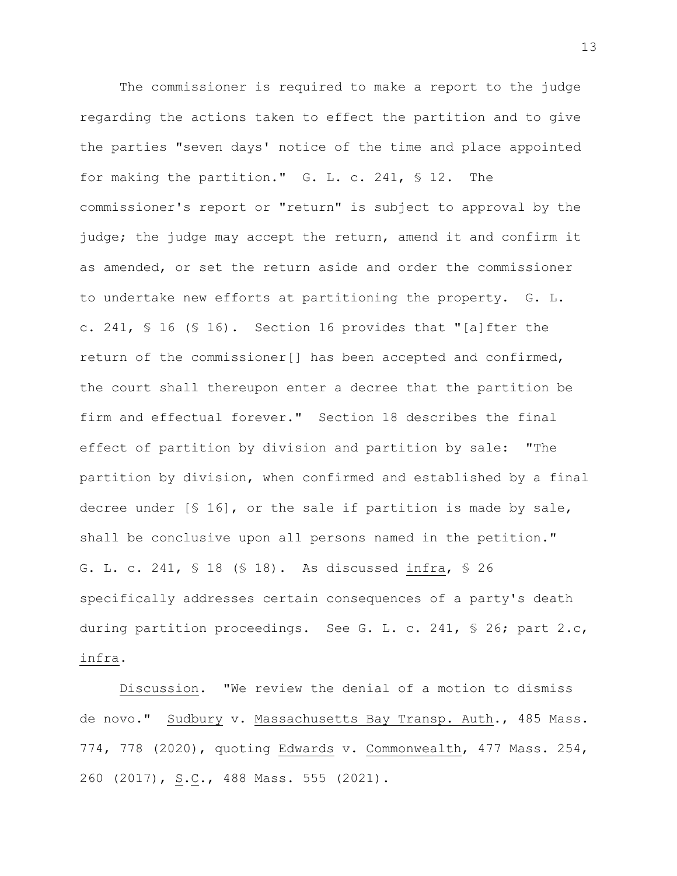The commissioner is required to make a report to the judge regarding the actions taken to effect the partition and to give the parties "seven days' notice of the time and place appointed for making the partition." G. L. c. 241, § 12. The commissioner's report or "return" is subject to approval by the judge; the judge may accept the return, amend it and confirm it as amended, or set the return aside and order the commissioner to undertake new efforts at partitioning the property. G. L. c. 241, § 16 (§ 16). Section 16 provides that "[a]fter the return of the commissioner[] has been accepted and confirmed, the court shall thereupon enter a decree that the partition be firm and effectual forever." Section 18 describes the final effect of partition by division and partition by sale: "The partition by division, when confirmed and established by a final decree under [§ 16], or the sale if partition is made by sale, shall be conclusive upon all persons named in the petition." G. L. c. 241, § 18 (§ 18). As discussed infra, § 26 specifically addresses certain consequences of a party's death during partition proceedings. See G. L. c. 241, § 26; part 2.c, infra.

Discussion. "We review the denial of a motion to dismiss de novo." Sudbury v. Massachusetts Bay Transp. Auth., 485 Mass. 774, 778 (2020), quoting Edwards v. Commonwealth, 477 Mass. 254, 260 (2017), S.C., 488 Mass. 555 (2021).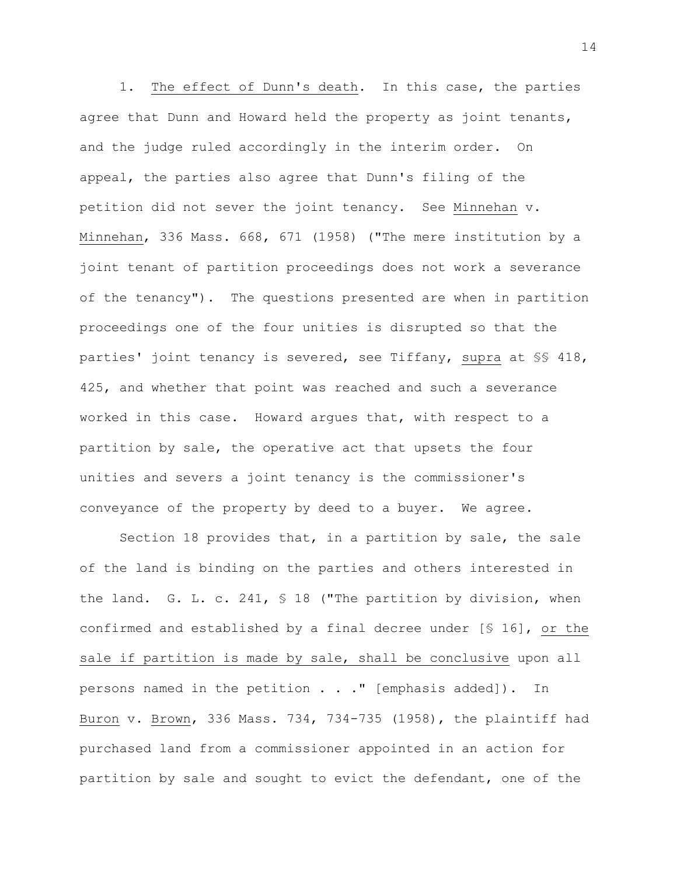1. The effect of Dunn's death. In this case, the parties agree that Dunn and Howard held the property as joint tenants, and the judge ruled accordingly in the interim order. On appeal, the parties also agree that Dunn's filing of the petition did not sever the joint tenancy. See Minnehan v. Minnehan, 336 Mass. 668, 671 (1958) ("The mere institution by a joint tenant of partition proceedings does not work a severance of the tenancy"). The questions presented are when in partition proceedings one of the four unities is disrupted so that the parties' joint tenancy is severed, see Tiffany, supra at §§ 418, 425, and whether that point was reached and such a severance worked in this case. Howard argues that, with respect to a partition by sale, the operative act that upsets the four unities and severs a joint tenancy is the commissioner's conveyance of the property by deed to a buyer. We agree.

Section 18 provides that, in a partition by sale, the sale of the land is binding on the parties and others interested in the land. G. L. c. 241, § 18 ("The partition by division, when confirmed and established by a final decree under [§ 16], or the sale if partition is made by sale, shall be conclusive upon all persons named in the petition . . ." [emphasis added]). In Buron v. Brown, 336 Mass. 734, 734-735 (1958), the plaintiff had purchased land from a commissioner appointed in an action for partition by sale and sought to evict the defendant, one of the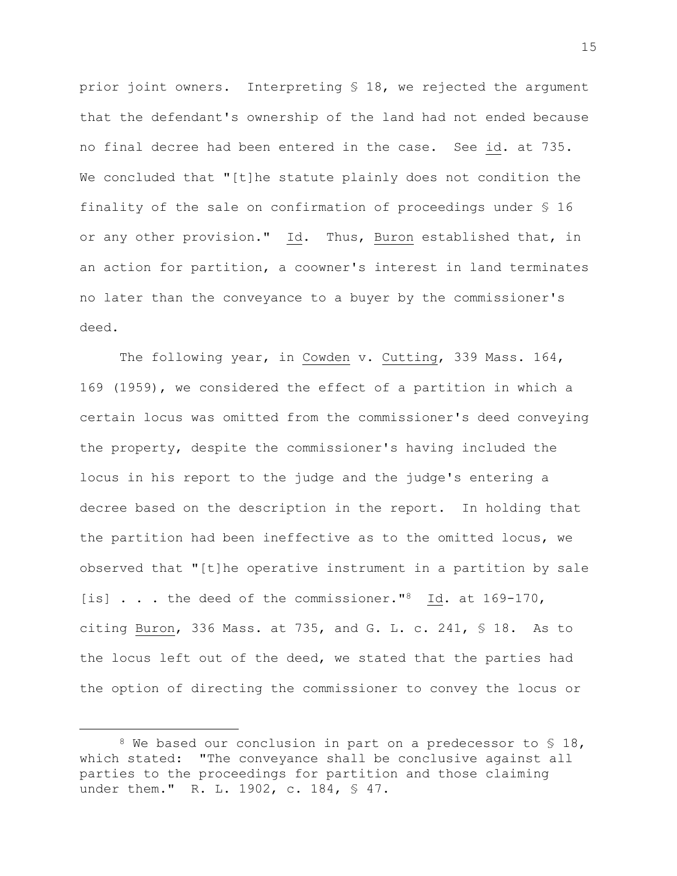prior joint owners. Interpreting § 18, we rejected the argument that the defendant's ownership of the land had not ended because no final decree had been entered in the case. See id. at 735. We concluded that "[t]he statute plainly does not condition the finality of the sale on confirmation of proceedings under § 16 or any other provision." Id. Thus, Buron established that, in an action for partition, a coowner's interest in land terminates no later than the conveyance to a buyer by the commissioner's deed.

The following year, in Cowden v. Cutting, 339 Mass. 164, 169 (1959), we considered the effect of a partition in which a certain locus was omitted from the commissioner's deed conveying the property, despite the commissioner's having included the locus in his report to the judge and the judge's entering a decree based on the description in the report. In holding that the partition had been ineffective as to the omitted locus, we observed that "[t]he operative instrument in a partition by sale [is] . . . the deed of the commissioner."<sup>8</sup> Id. at 169-170, citing Buron, 336 Mass. at 735, and G. L. c. 241, § 18. As to the locus left out of the deed, we stated that the parties had the option of directing the commissioner to convey the locus or

 $8$  We based our conclusion in part on a predecessor to  $\$$  18, which stated: "The conveyance shall be conclusive against all parties to the proceedings for partition and those claiming under them." R. L. 1902, c. 184, § 47.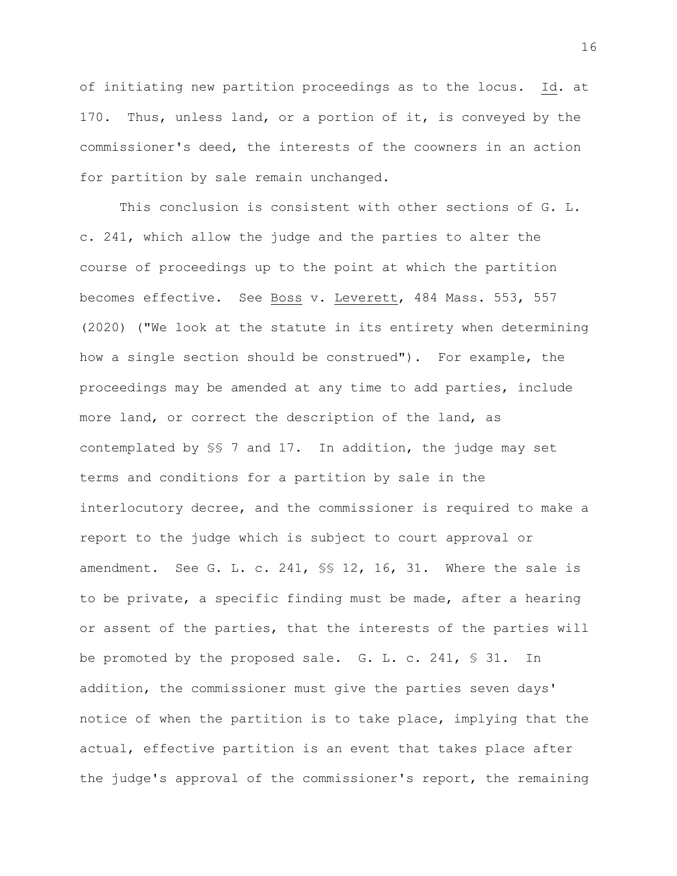of initiating new partition proceedings as to the locus. Id. at 170. Thus, unless land, or a portion of it, is conveyed by the commissioner's deed, the interests of the coowners in an action for partition by sale remain unchanged.

This conclusion is consistent with other sections of G. L. c. 241, which allow the judge and the parties to alter the course of proceedings up to the point at which the partition becomes effective. See Boss v. Leverett, 484 Mass. 553, 557 (2020) ("We look at the statute in its entirety when determining how a single section should be construed"). For example, the proceedings may be amended at any time to add parties, include more land, or correct the description of the land, as contemplated by §§ 7 and 17. In addition, the judge may set terms and conditions for a partition by sale in the interlocutory decree, and the commissioner is required to make a report to the judge which is subject to court approval or amendment. See G. L. c. 241, §§ 12, 16, 31. Where the sale is to be private, a specific finding must be made, after a hearing or assent of the parties, that the interests of the parties will be promoted by the proposed sale. G. L. c. 241, § 31. In addition, the commissioner must give the parties seven days' notice of when the partition is to take place, implying that the actual, effective partition is an event that takes place after the judge's approval of the commissioner's report, the remaining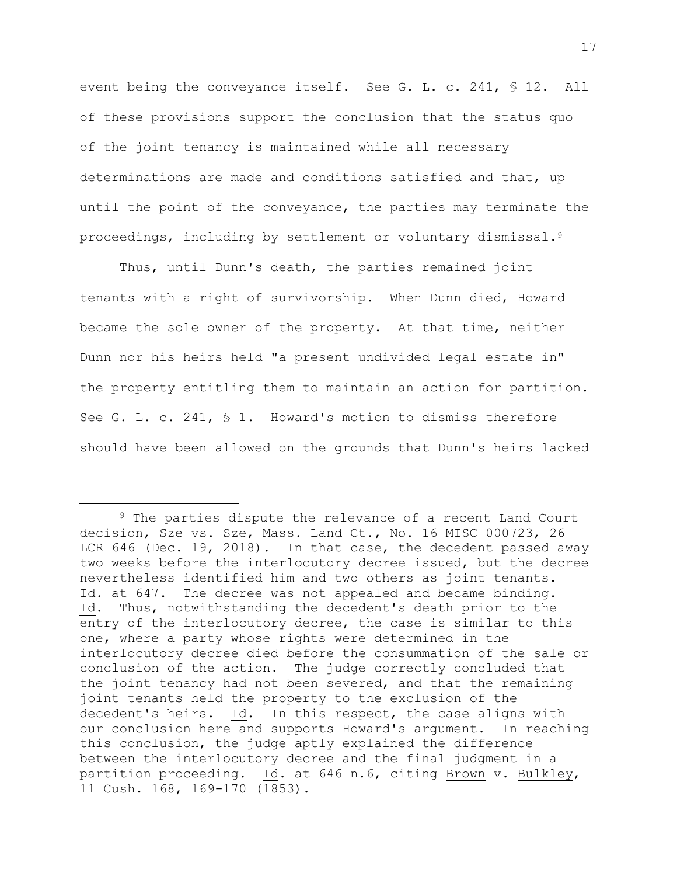event being the conveyance itself. See G. L. c. 241, § 12. All of these provisions support the conclusion that the status quo of the joint tenancy is maintained while all necessary determinations are made and conditions satisfied and that, up until the point of the conveyance, the parties may terminate the proceedings, including by settlement or voluntary dismissal.<sup>9</sup>

Thus, until Dunn's death, the parties remained joint tenants with a right of survivorship. When Dunn died, Howard became the sole owner of the property. At that time, neither Dunn nor his heirs held "a present undivided legal estate in" the property entitling them to maintain an action for partition. See G. L. c. 241, § 1. Howard's motion to dismiss therefore should have been allowed on the grounds that Dunn's heirs lacked

<sup>9</sup> The parties dispute the relevance of a recent Land Court decision, Sze vs. Sze, Mass. Land Ct., No. 16 MISC 000723, 26 LCR 646 (Dec. 19, 2018). In that case, the decedent passed away two weeks before the interlocutory decree issued, but the decree nevertheless identified him and two others as joint tenants. Id. at 647. The decree was not appealed and became binding. Id. Thus, notwithstanding the decedent's death prior to the entry of the interlocutory decree, the case is similar to this one, where a party whose rights were determined in the interlocutory decree died before the consummation of the sale or conclusion of the action. The judge correctly concluded that the joint tenancy had not been severed, and that the remaining joint tenants held the property to the exclusion of the decedent's heirs. Id. In this respect, the case aligns with our conclusion here and supports Howard's argument. In reaching this conclusion, the judge aptly explained the difference between the interlocutory decree and the final judgment in a partition proceeding. Id. at 646 n.6, citing Brown v. Bulkley, 11 Cush. 168, 169-170 (1853).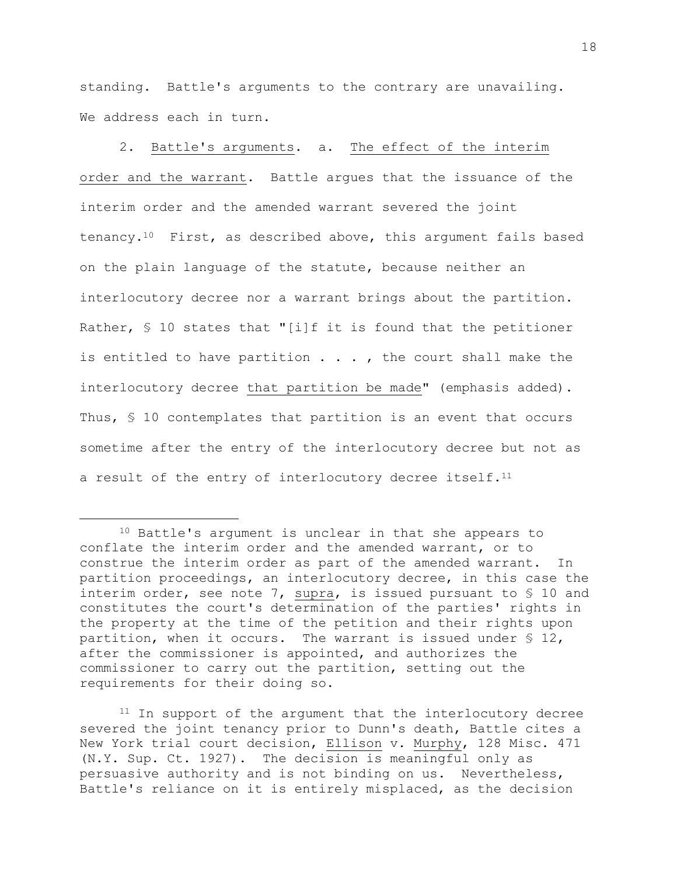standing. Battle's arguments to the contrary are unavailing. We address each in turn.

2. Battle's arguments. a. The effect of the interim order and the warrant. Battle argues that the issuance of the interim order and the amended warrant severed the joint tenancy.10 First, as described above, this argument fails based on the plain language of the statute, because neither an interlocutory decree nor a warrant brings about the partition. Rather, § 10 states that "[i]f it is found that the petitioner is entitled to have partition  $\ldots$ , the court shall make the interlocutory decree that partition be made" (emphasis added). Thus, § 10 contemplates that partition is an event that occurs sometime after the entry of the interlocutory decree but not as a result of the entry of interlocutory decree itself.<sup>11</sup>

<sup>11</sup> In support of the argument that the interlocutory decree severed the joint tenancy prior to Dunn's death, Battle cites a New York trial court decision, Ellison v. Murphy, 128 Misc. 471 (N.Y. Sup. Ct. 1927). The decision is meaningful only as persuasive authority and is not binding on us. Nevertheless, Battle's reliance on it is entirely misplaced, as the decision

<sup>10</sup> Battle's argument is unclear in that she appears to conflate the interim order and the amended warrant, or to construe the interim order as part of the amended warrant. In partition proceedings, an interlocutory decree, in this case the interim order, see note 7, supra, is issued pursuant to § 10 and constitutes the court's determination of the parties' rights in the property at the time of the petition and their rights upon partition, when it occurs. The warrant is issued under § 12, after the commissioner is appointed, and authorizes the commissioner to carry out the partition, setting out the requirements for their doing so.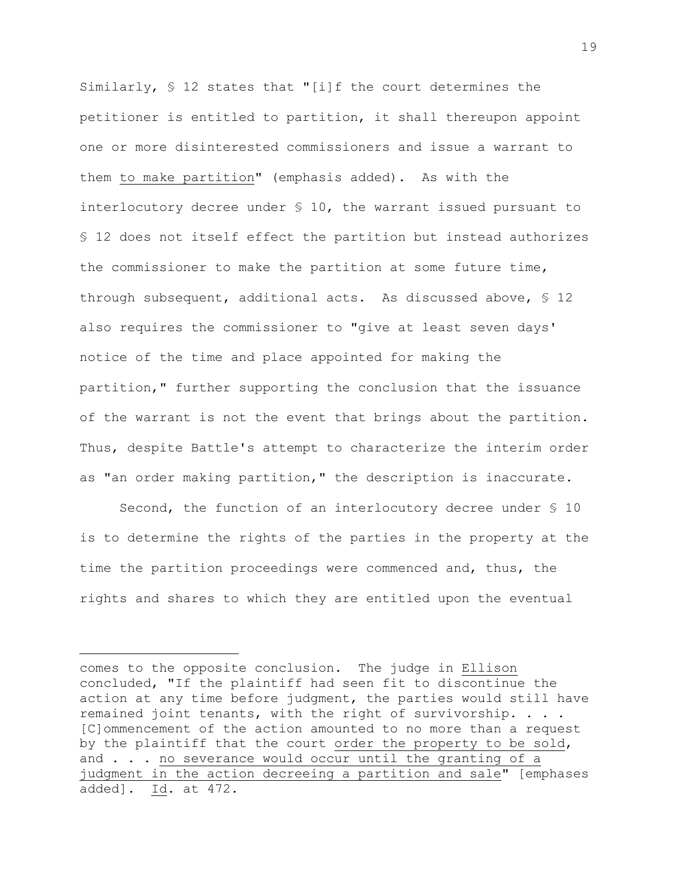Similarly, § 12 states that "[i]f the court determines the petitioner is entitled to partition, it shall thereupon appoint one or more disinterested commissioners and issue a warrant to them to make partition" (emphasis added). As with the interlocutory decree under § 10, the warrant issued pursuant to § 12 does not itself effect the partition but instead authorizes the commissioner to make the partition at some future time, through subsequent, additional acts. As discussed above, § 12 also requires the commissioner to "give at least seven days' notice of the time and place appointed for making the partition," further supporting the conclusion that the issuance of the warrant is not the event that brings about the partition. Thus, despite Battle's attempt to characterize the interim order as "an order making partition," the description is inaccurate.

Second, the function of an interlocutory decree under § 10 is to determine the rights of the parties in the property at the time the partition proceedings were commenced and, thus, the rights and shares to which they are entitled upon the eventual

comes to the opposite conclusion. The judge in Ellison concluded, "If the plaintiff had seen fit to discontinue the action at any time before judgment, the parties would still have remained joint tenants, with the right of survivorship. . . . [C]ommencement of the action amounted to no more than a request by the plaintiff that the court order the property to be sold, and . . . no severance would occur until the granting of a judgment in the action decreeing a partition and sale" [emphases added]. Id. at 472.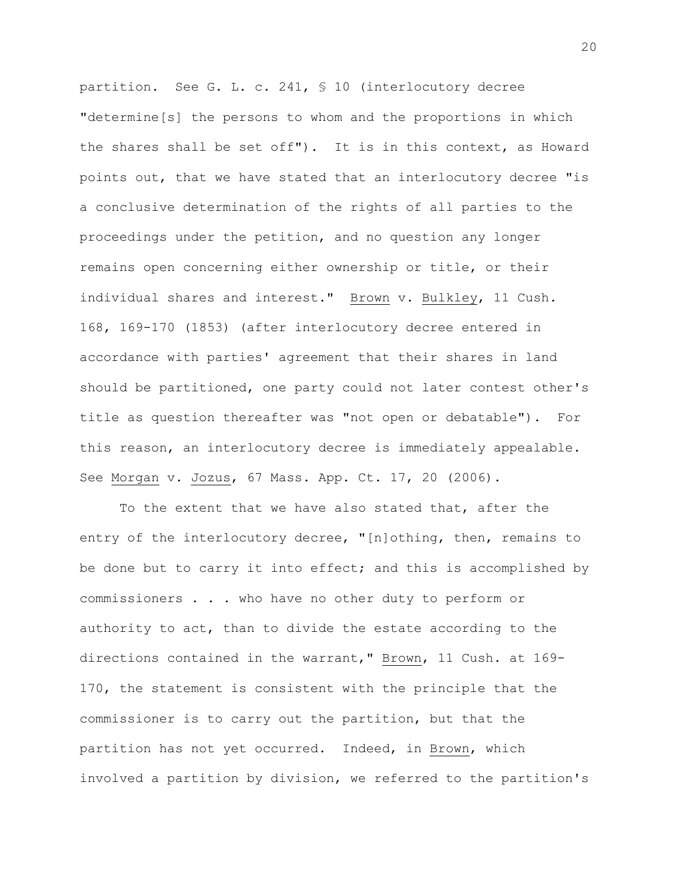partition. See G. L. c. 241, § 10 (interlocutory decree "determine[s] the persons to whom and the proportions in which the shares shall be set off"). It is in this context, as Howard points out, that we have stated that an interlocutory decree "is a conclusive determination of the rights of all parties to the proceedings under the petition, and no question any longer remains open concerning either ownership or title, or their individual shares and interest." Brown v. Bulkley, 11 Cush. 168, 169-170 (1853) (after interlocutory decree entered in accordance with parties' agreement that their shares in land should be partitioned, one party could not later contest other's title as question thereafter was "not open or debatable"). For this reason, an interlocutory decree is immediately appealable. See Morgan v. Jozus, 67 Mass. App. Ct. 17, 20 (2006).

To the extent that we have also stated that, after the entry of the interlocutory decree, "[n]othing, then, remains to be done but to carry it into effect; and this is accomplished by commissioners . . . who have no other duty to perform or authority to act, than to divide the estate according to the directions contained in the warrant," Brown, 11 Cush. at 169- 170, the statement is consistent with the principle that the commissioner is to carry out the partition, but that the partition has not yet occurred. Indeed, in Brown, which involved a partition by division, we referred to the partition's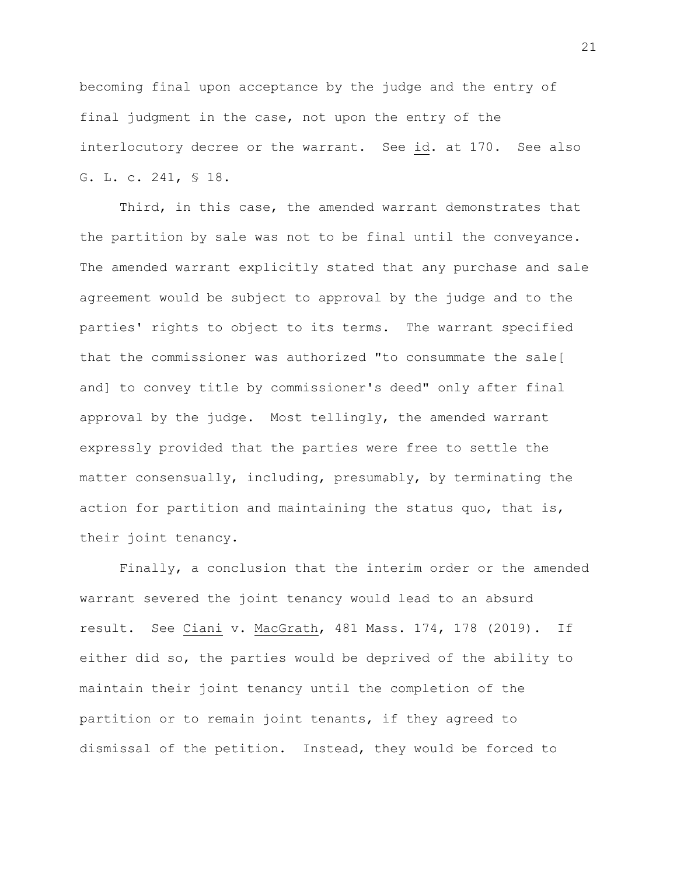becoming final upon acceptance by the judge and the entry of final judgment in the case, not upon the entry of the interlocutory decree or the warrant. See id. at 170. See also G. L. c. 241, § 18.

Third, in this case, the amended warrant demonstrates that the partition by sale was not to be final until the conveyance. The amended warrant explicitly stated that any purchase and sale agreement would be subject to approval by the judge and to the parties' rights to object to its terms. The warrant specified that the commissioner was authorized "to consummate the sale[ and] to convey title by commissioner's deed" only after final approval by the judge. Most tellingly, the amended warrant expressly provided that the parties were free to settle the matter consensually, including, presumably, by terminating the action for partition and maintaining the status quo, that is, their joint tenancy.

Finally, a conclusion that the interim order or the amended warrant severed the joint tenancy would lead to an absurd result. See Ciani v. MacGrath, 481 Mass. 174, 178 (2019). If either did so, the parties would be deprived of the ability to maintain their joint tenancy until the completion of the partition or to remain joint tenants, if they agreed to dismissal of the petition. Instead, they would be forced to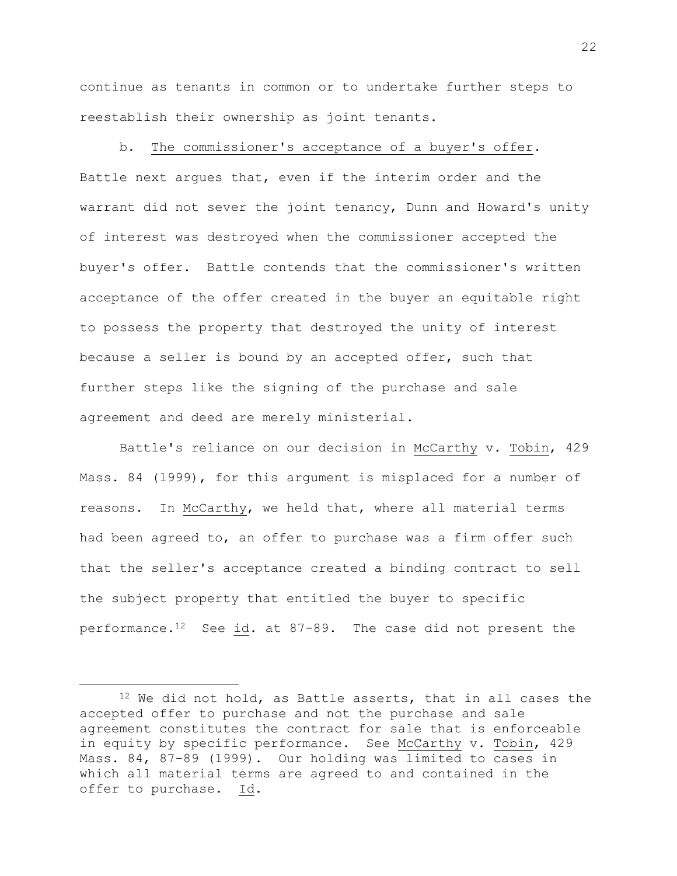continue as tenants in common or to undertake further steps to reestablish their ownership as joint tenants.

b. The commissioner's acceptance of a buyer's offer. Battle next argues that, even if the interim order and the warrant did not sever the joint tenancy, Dunn and Howard's unity of interest was destroyed when the commissioner accepted the buyer's offer. Battle contends that the commissioner's written acceptance of the offer created in the buyer an equitable right to possess the property that destroyed the unity of interest because a seller is bound by an accepted offer, such that further steps like the signing of the purchase and sale agreement and deed are merely ministerial.

Battle's reliance on our decision in McCarthy v. Tobin, 429 Mass. 84 (1999), for this argument is misplaced for a number of reasons. In McCarthy, we held that, where all material terms had been agreed to, an offer to purchase was a firm offer such that the seller's acceptance created a binding contract to sell the subject property that entitled the buyer to specific performance.12 See id. at 87-89. The case did not present the

<sup>&</sup>lt;sup>12</sup> We did not hold, as Battle asserts, that in all cases the accepted offer to purchase and not the purchase and sale agreement constitutes the contract for sale that is enforceable in equity by specific performance. See McCarthy v. Tobin, 429 Mass. 84, 87-89 (1999). Our holding was limited to cases in which all material terms are agreed to and contained in the offer to purchase. Id.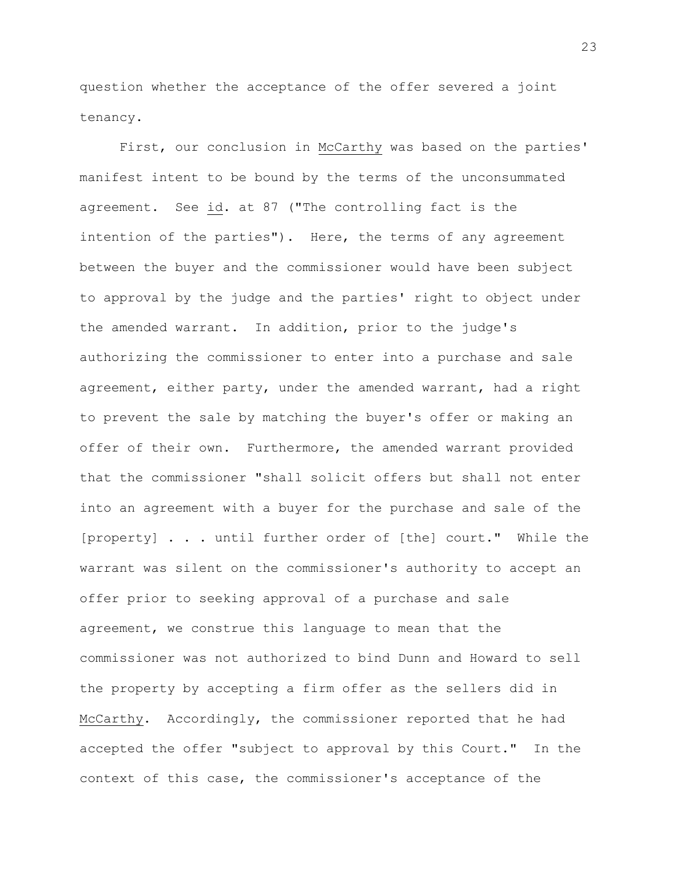question whether the acceptance of the offer severed a joint tenancy.

First, our conclusion in McCarthy was based on the parties' manifest intent to be bound by the terms of the unconsummated agreement. See id. at 87 ("The controlling fact is the intention of the parties"). Here, the terms of any agreement between the buyer and the commissioner would have been subject to approval by the judge and the parties' right to object under the amended warrant. In addition, prior to the judge's authorizing the commissioner to enter into a purchase and sale agreement, either party, under the amended warrant, had a right to prevent the sale by matching the buyer's offer or making an offer of their own. Furthermore, the amended warrant provided that the commissioner "shall solicit offers but shall not enter into an agreement with a buyer for the purchase and sale of the [property] . . . until further order of [the] court." While the warrant was silent on the commissioner's authority to accept an offer prior to seeking approval of a purchase and sale agreement, we construe this language to mean that the commissioner was not authorized to bind Dunn and Howard to sell the property by accepting a firm offer as the sellers did in McCarthy. Accordingly, the commissioner reported that he had accepted the offer "subject to approval by this Court." In the context of this case, the commissioner's acceptance of the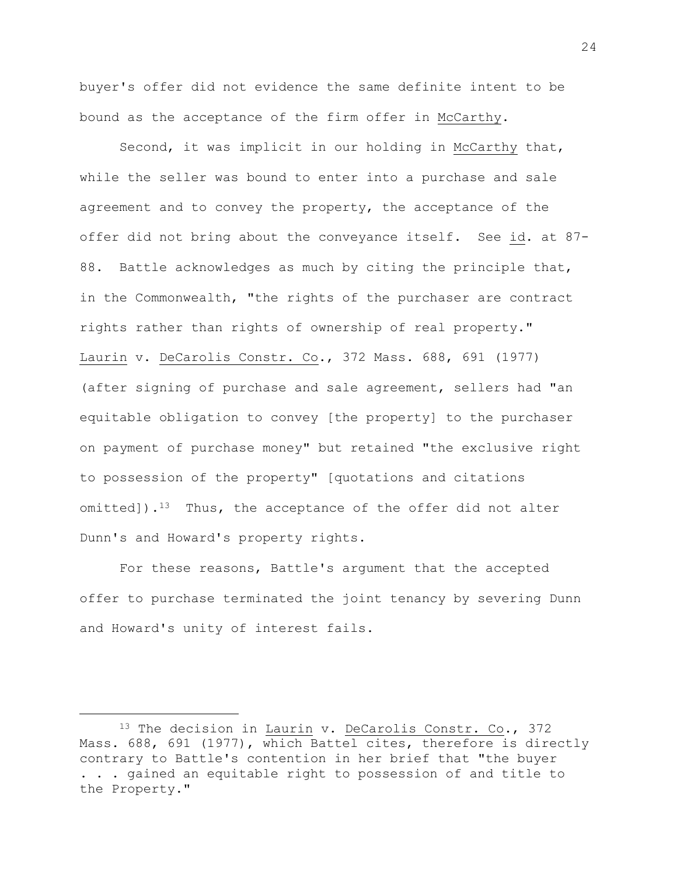buyer's offer did not evidence the same definite intent to be bound as the acceptance of the firm offer in McCarthy.

Second, it was implicit in our holding in McCarthy that, while the seller was bound to enter into a purchase and sale agreement and to convey the property, the acceptance of the offer did not bring about the conveyance itself. See id. at 87- 88. Battle acknowledges as much by citing the principle that, in the Commonwealth, "the rights of the purchaser are contract rights rather than rights of ownership of real property." Laurin v. DeCarolis Constr. Co., 372 Mass. 688, 691 (1977) (after signing of purchase and sale agreement, sellers had "an equitable obligation to convey [the property] to the purchaser on payment of purchase money" but retained "the exclusive right to possession of the property" [quotations and citations omitted]).<sup>13</sup> Thus, the acceptance of the offer did not alter Dunn's and Howard's property rights.

For these reasons, Battle's argument that the accepted offer to purchase terminated the joint tenancy by severing Dunn and Howard's unity of interest fails.

<sup>&</sup>lt;sup>13</sup> The decision in Laurin v. DeCarolis Constr. Co., 372 Mass. 688, 691 (1977), which Battel cites, therefore is directly contrary to Battle's contention in her brief that "the buyer . . . gained an equitable right to possession of and title to the Property."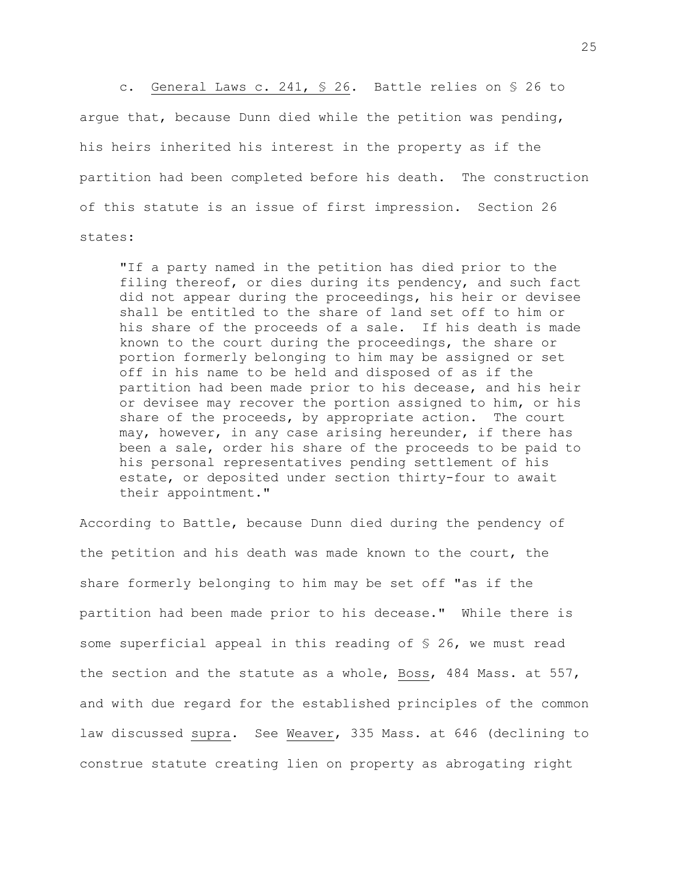c. General Laws c. 241, § 26. Battle relies on § 26 to argue that, because Dunn died while the petition was pending, his heirs inherited his interest in the property as if the partition had been completed before his death. The construction of this statute is an issue of first impression. Section 26 states:

"If a party named in the petition has died prior to the filing thereof, or dies during its pendency, and such fact did not appear during the proceedings, his heir or devisee shall be entitled to the share of land set off to him or his share of the proceeds of a sale. If his death is made known to the court during the proceedings, the share or portion formerly belonging to him may be assigned or set off in his name to be held and disposed of as if the partition had been made prior to his decease, and his heir or devisee may recover the portion assigned to him, or his share of the proceeds, by appropriate action. The court may, however, in any case arising hereunder, if there has been a sale, order his share of the proceeds to be paid to his personal representatives pending settlement of his estate, or deposited under section thirty-four to await their appointment."

According to Battle, because Dunn died during the pendency of the petition and his death was made known to the court, the share formerly belonging to him may be set off "as if the partition had been made prior to his decease." While there is some superficial appeal in this reading of § 26, we must read the section and the statute as a whole, Boss, 484 Mass. at 557, and with due regard for the established principles of the common law discussed supra. See Weaver, 335 Mass. at 646 (declining to construe statute creating lien on property as abrogating right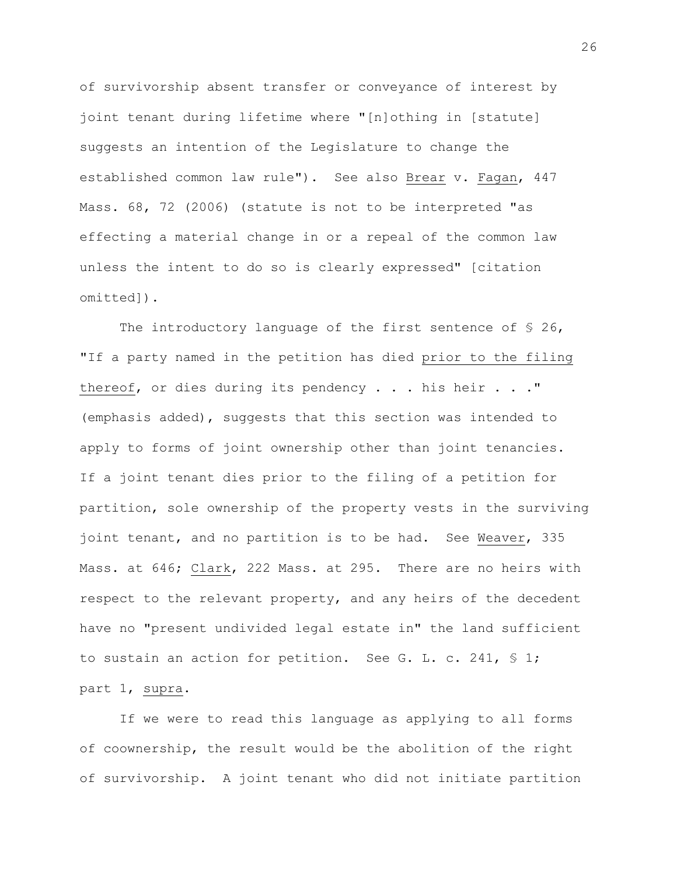of survivorship absent transfer or conveyance of interest by joint tenant during lifetime where "[n]othing in [statute] suggests an intention of the Legislature to change the established common law rule"). See also Brear v. Fagan, 447 Mass. 68, 72 (2006) (statute is not to be interpreted "as effecting a material change in or a repeal of the common law unless the intent to do so is clearly expressed" [citation omitted]).

The introductory language of the first sentence of  $\S$  26, "If a party named in the petition has died prior to the filing thereof, or dies during its pendency . . . his heir . . ." (emphasis added), suggests that this section was intended to apply to forms of joint ownership other than joint tenancies. If a joint tenant dies prior to the filing of a petition for partition, sole ownership of the property vests in the surviving joint tenant, and no partition is to be had. See Weaver, 335 Mass. at 646; Clark, 222 Mass. at 295. There are no heirs with respect to the relevant property, and any heirs of the decedent have no "present undivided legal estate in" the land sufficient to sustain an action for petition. See G. L. c. 241, § 1; part 1, supra.

If we were to read this language as applying to all forms of coownership, the result would be the abolition of the right of survivorship. A joint tenant who did not initiate partition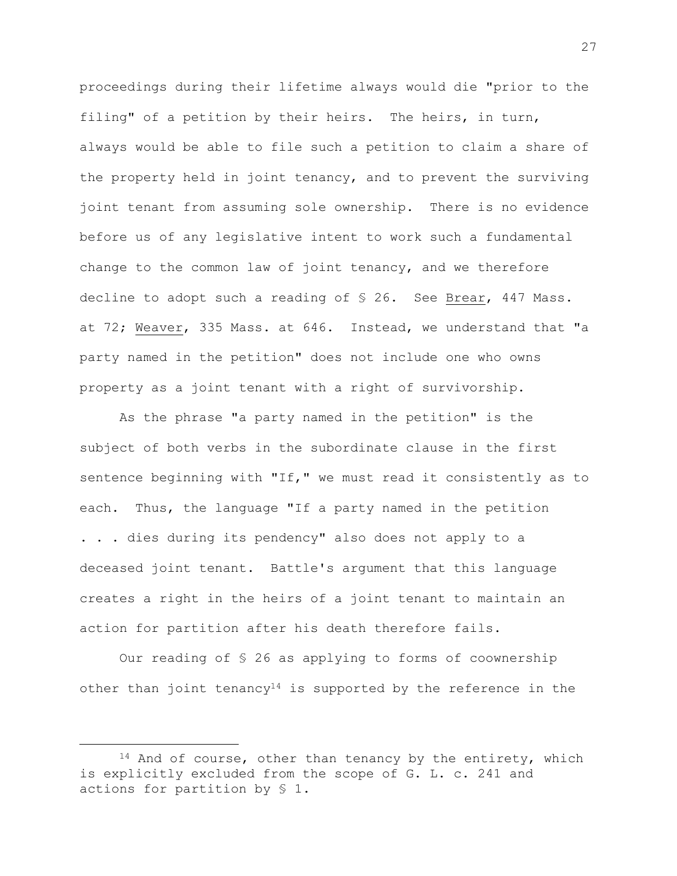proceedings during their lifetime always would die "prior to the filing" of a petition by their heirs. The heirs, in turn, always would be able to file such a petition to claim a share of the property held in joint tenancy, and to prevent the surviving joint tenant from assuming sole ownership. There is no evidence before us of any legislative intent to work such a fundamental change to the common law of joint tenancy, and we therefore decline to adopt such a reading of § 26. See Brear, 447 Mass. at 72; Weaver, 335 Mass. at 646. Instead, we understand that "a party named in the petition" does not include one who owns property as a joint tenant with a right of survivorship.

As the phrase "a party named in the petition" is the subject of both verbs in the subordinate clause in the first sentence beginning with "If," we must read it consistently as to each. Thus, the language "If a party named in the petition . . . dies during its pendency" also does not apply to a deceased joint tenant. Battle's argument that this language creates a right in the heirs of a joint tenant to maintain an action for partition after his death therefore fails.

Our reading of § 26 as applying to forms of coownership other than joint tenancy<sup>14</sup> is supported by the reference in the

<sup>&</sup>lt;sup>14</sup> And of course, other than tenancy by the entirety, which is explicitly excluded from the scope of G. L. c. 241 and actions for partition by § 1.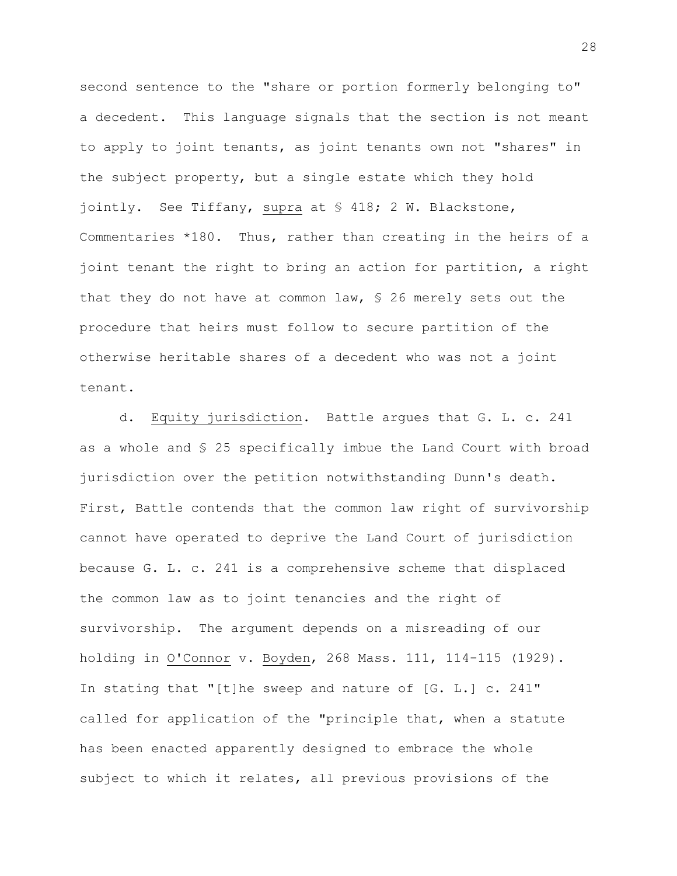second sentence to the "share or portion formerly belonging to" a decedent. This language signals that the section is not meant to apply to joint tenants, as joint tenants own not "shares" in the subject property, but a single estate which they hold jointly. See Tiffany, supra at § 418; 2 W. Blackstone, Commentaries \*180. Thus, rather than creating in the heirs of a joint tenant the right to bring an action for partition, a right that they do not have at common law, § 26 merely sets out the procedure that heirs must follow to secure partition of the otherwise heritable shares of a decedent who was not a joint tenant.

d. Equity jurisdiction. Battle argues that G. L. c. 241 as a whole and § 25 specifically imbue the Land Court with broad jurisdiction over the petition notwithstanding Dunn's death. First, Battle contends that the common law right of survivorship cannot have operated to deprive the Land Court of jurisdiction because G. L. c. 241 is a comprehensive scheme that displaced the common law as to joint tenancies and the right of survivorship. The argument depends on a misreading of our holding in O'Connor v. Boyden, 268 Mass. 111, 114-115 (1929). In stating that "[t]he sweep and nature of [G. L.] c. 241" called for application of the "principle that, when a statute has been enacted apparently designed to embrace the whole subject to which it relates, all previous provisions of the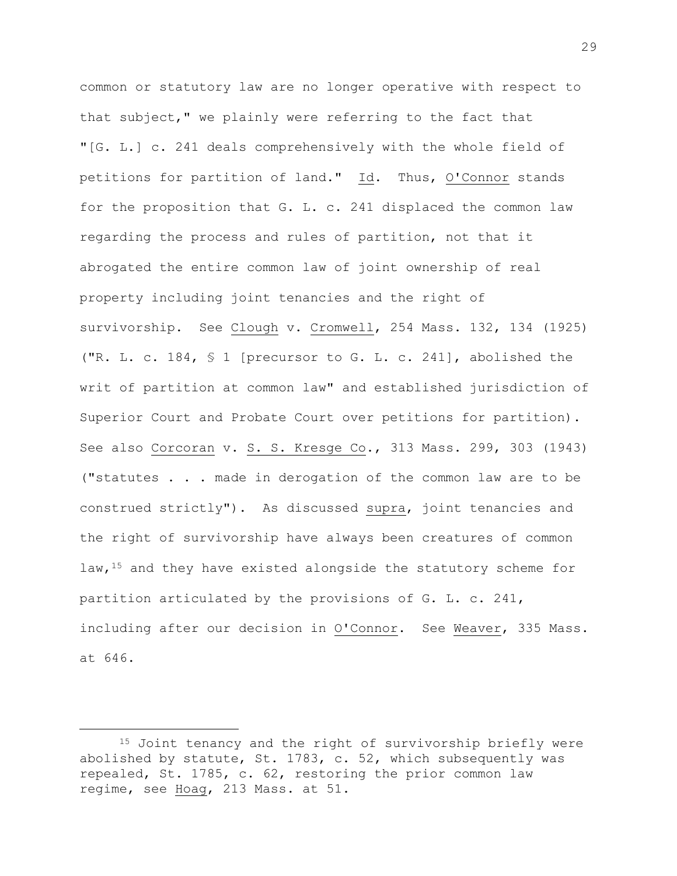common or statutory law are no longer operative with respect to that subject," we plainly were referring to the fact that "[G. L.] c. 241 deals comprehensively with the whole field of petitions for partition of land." Id. Thus, O'Connor stands for the proposition that G. L. c. 241 displaced the common law regarding the process and rules of partition, not that it abrogated the entire common law of joint ownership of real property including joint tenancies and the right of survivorship. See Clough v. Cromwell, 254 Mass. 132, 134 (1925) ("R. L. c. 184, § 1 [precursor to G. L. c. 241], abolished the writ of partition at common law" and established jurisdiction of Superior Court and Probate Court over petitions for partition). See also Corcoran v. S. S. Kresge Co., 313 Mass. 299, 303 (1943) ("statutes . . . made in derogation of the common law are to be construed strictly"). As discussed supra, joint tenancies and the right of survivorship have always been creatures of common law,<sup>15</sup> and they have existed alongside the statutory scheme for partition articulated by the provisions of G. L. c. 241, including after our decision in O'Connor. See Weaver, 335 Mass. at 646.

<sup>15</sup> Joint tenancy and the right of survivorship briefly were abolished by statute, St. 1783, c. 52, which subsequently was repealed, St. 1785, c. 62, restoring the prior common law regime, see Hoag, 213 Mass. at 51.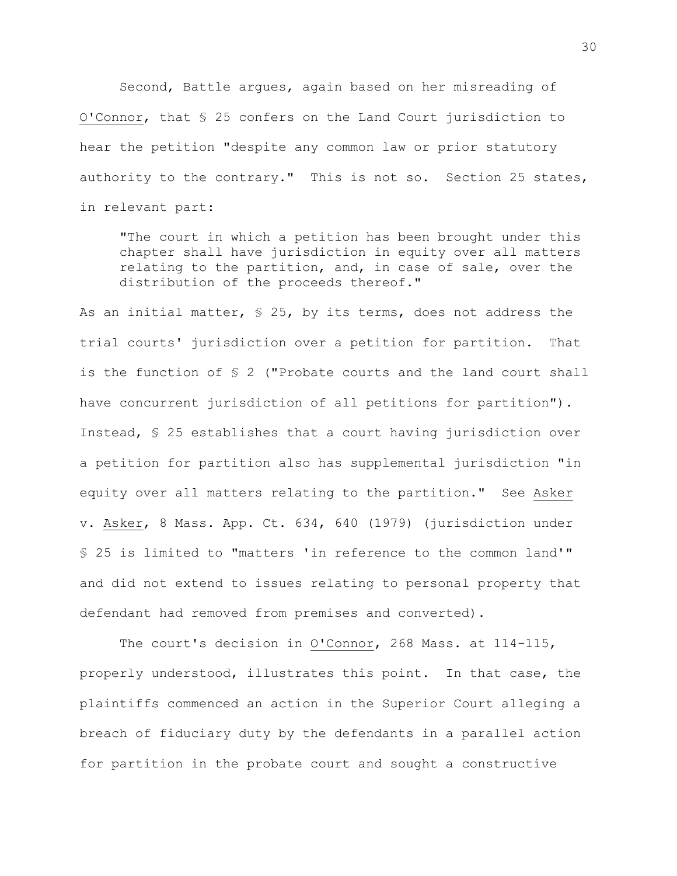Second, Battle argues, again based on her misreading of O'Connor, that § 25 confers on the Land Court jurisdiction to hear the petition "despite any common law or prior statutory authority to the contrary." This is not so. Section 25 states, in relevant part:

"The court in which a petition has been brought under this chapter shall have jurisdiction in equity over all matters relating to the partition, and, in case of sale, over the distribution of the proceeds thereof."

As an initial matter, § 25, by its terms, does not address the trial courts' jurisdiction over a petition for partition. That is the function of § 2 ("Probate courts and the land court shall have concurrent jurisdiction of all petitions for partition"). Instead, § 25 establishes that a court having jurisdiction over a petition for partition also has supplemental jurisdiction "in equity over all matters relating to the partition." See Asker v. Asker, 8 Mass. App. Ct. 634, 640 (1979) (jurisdiction under § 25 is limited to "matters 'in reference to the common land'" and did not extend to issues relating to personal property that defendant had removed from premises and converted).

The court's decision in O'Connor, 268 Mass. at 114-115, properly understood, illustrates this point. In that case, the plaintiffs commenced an action in the Superior Court alleging a breach of fiduciary duty by the defendants in a parallel action for partition in the probate court and sought a constructive